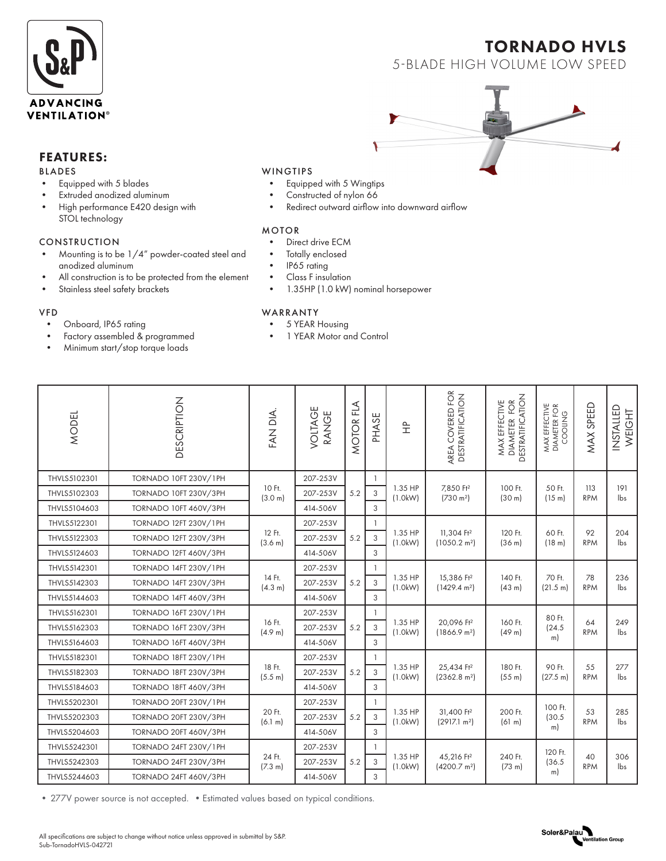

## FEATURES:

### BLADES

- Equipped with 5 blades
- Extruded anodized aluminum
- High performance E420 design with STOL technology

### CONSTRUCTION

- Mounting is to be 1/4" powder-coated steel and anodized aluminum
- All construction is to be protected from the element
- Stainless steel safety brackets

#### VFD

- Onboard, IP65 rating
- Factory assembled & programmed
- Minimum start/stop torque loads

### WINGTIPS

- Equipped with 5 Wingtips
- Constructed of nylon 66
- Redirect outward airflow into downward airflow

### MOTOR

- Direct drive ECM
- Totally enclosed
- IP65 rating
- Class F insulation
- 1.35HP (1.0 kW) nominal horsepower

### **WARRANTY**

- 5 YEAR Housing
- 1 YEAR Motor and Control

| <b>MODEL</b>                                                                         | DESCRIPTION                  | FAN DIA.          | VOLTAGE<br>RANGE | MOTOR FLA | PHASE          | $\hat{\pm}$        | area covered for<br>destratification               | max effective<br>diameter for<br>destratification | MAX EFFECTIVE<br>DIAMETER FOR<br>COOLING | MAX SPEED         | INSTALLED<br>WEIGHT   |
|--------------------------------------------------------------------------------------|------------------------------|-------------------|------------------|-----------|----------------|--------------------|----------------------------------------------------|---------------------------------------------------|------------------------------------------|-------------------|-----------------------|
| THVLS5102301                                                                         | <b>TORNADO 10FT 230V/1PH</b> |                   | 207-253V         |           | $\mathbf{1}$   | 1.35 HP<br>(1.0kW) | 7,850 Ft <sup>2</sup><br>$(730 \text{ m}^2)$       | 100 Ft.<br>(30 m)                                 | 50 Ft.<br>(15 m)                         | 113<br><b>RPM</b> | 191<br>lbs            |
| THVLS5102303                                                                         | TORNADO 10FT 230V/3PH        | 10 Ft.<br>(3.0 m) | 207-253V         | 5.2       | $\sqrt{3}$     |                    |                                                    |                                                   |                                          |                   |                       |
| THVLS5104603                                                                         | <b>TORNADO 10FT 460V/3PH</b> |                   | 414-506V         |           | 3              |                    |                                                    |                                                   |                                          |                   |                       |
| THVLS5122301                                                                         | <b>TORNADO 12FT 230V/1PH</b> |                   | 207-253V         |           | $\mathbf{1}$   | 1.35 HP<br>(1.0kW) | 11,304 Ft <sup>2</sup><br>(1050.2 m <sup>2</sup> ) | 120 Ft.<br>(36 <sub>m</sub> )                     | 60 Ft.<br>(18 m)                         | 92<br><b>RPM</b>  | 204<br>lbs            |
| THVLS5122303                                                                         | TORNADO 12FT 230V/3PH        | 12 Ft.<br>(3.6 m) | 207-253V         | 5.2       | $\mathfrak{Z}$ |                    |                                                    |                                                   |                                          |                   |                       |
| THVLS5124603                                                                         | <b>TORNADO 12FT 460V/3PH</b> |                   | 414-506V         |           | 3              |                    |                                                    |                                                   |                                          |                   |                       |
| THVLS5142301                                                                         | TORNADO 14FT 230V/1PH        | 14 Ft.<br>(4.3 m) | 207-253V         |           | $\mathbf{1}$   | 1.35 HP<br>(1.0kW) | 15,386 Ft <sup>2</sup><br>(1429.4 m <sup>2</sup> ) | 140 Ft.<br>(43 m)                                 | 70 Ft.<br>(21.5 m)                       | 78<br><b>RPM</b>  | 236<br>lbs            |
| THVLS5142303                                                                         | TORNADO 14FT 230V/3PH        |                   | 207-253V         | 5.2       | $\mathfrak{Z}$ |                    |                                                    |                                                   |                                          |                   |                       |
| THVLS5144603                                                                         | TORNADO 14FT 460V/3PH        |                   | 414-506V         |           | 3              |                    |                                                    |                                                   |                                          |                   |                       |
| THVLS5162301                                                                         | <b>TORNADO 16FT 230V/1PH</b> |                   | 207-253V         |           | $\mathbf{1}$   |                    | 20.096 Ft <sup>2</sup><br>(1866.9 m <sup>2</sup> ) | 160 Ft.<br>(49 <sub>m</sub> )                     | 80 Ft.<br>(24.5)<br>m)                   | 64<br><b>RPM</b>  | 249<br>lbs            |
| THVLS5162303                                                                         | TORNADO 16FT 230V/3PH        | 16 Ft.<br>(4.9 m) | 207-253V         | 5.2       | $\mathbf{3}$   | 1.35 HP<br>(1.0kW) |                                                    |                                                   |                                          |                   |                       |
| THVLS5164603                                                                         | <b>TORNADO 16FT 460V/3PH</b> |                   | 414-506V         |           | 3              |                    |                                                    |                                                   |                                          |                   |                       |
| THVLS5182301                                                                         | <b>TORNADO 18FT 230V/1PH</b> |                   | 207-253V         |           | $\mathbf{1}$   | 1.35 HP<br>(1.0kW) | 25,434 Ft <sup>2</sup><br>(2362.8 m <sup>2</sup> ) | 180 Ft.<br>(55 m)                                 | 90 Ft.<br>(27.5 m)                       | 55<br><b>RPM</b>  | 277<br>lbs            |
| THVLS5182303                                                                         | <b>TORNADO 18FT 230V/3PH</b> | 18 Ft.<br>(5.5 m) | 207-253V         | 5.2       | $\mathfrak{Z}$ |                    |                                                    |                                                   |                                          |                   |                       |
| THVLS5184603                                                                         | <b>TORNADO 18FT 460V/3PH</b> |                   | 414-506V         |           | 3              |                    |                                                    |                                                   |                                          |                   |                       |
| THVLS5202301                                                                         | TORNADO 20FT 230V/1PH        |                   | 207-253V         | 5.2       | $\mathbf{1}$   | 1.35 HP<br>(1.0kW) | 31,400 Ft <sup>2</sup><br>(2917.1 m <sup>2</sup> ) | 200 Ft.<br>(61 m)                                 | 100 Ft.<br>(30.5)<br>m)                  | 53<br><b>RPM</b>  | 285<br>$\mathsf{lbs}$ |
| THVLS5202303                                                                         | TORNADO 20FT 230V/3PH        | 20 Ft.<br>(6.1 m) | 207-253V         |           | $\sqrt{3}$     |                    |                                                    |                                                   |                                          |                   |                       |
| THVLS5204603                                                                         | TORNADO 20FT 460V/3PH        |                   | 414-506V         |           | 3              |                    |                                                    |                                                   |                                          |                   |                       |
| THVLS5242301                                                                         | TORNADO 24FT 230V/1PH        |                   | 207-253V         | 5.2       | $\mathbf{1}$   | 1.35 HP<br>(1.0kW) | 45,216 Ft <sup>2</sup><br>(4200.7 m <sup>2</sup> ) | 240 Ft.<br>$(73 \text{ m})$                       | 120 Ft.<br>(36.5)<br>m)                  | 40<br><b>RPM</b>  | 306<br>$\mathsf{lbs}$ |
| THVLS5242303                                                                         | TORNADO 24FT 230V/3PH        | 24 Ft.<br>(7.3 m) | 207-253V         |           | $\sqrt{3}$     |                    |                                                    |                                                   |                                          |                   |                       |
| THVLS5244603                                                                         | TORNADO 24FT 460V/3PH        |                   | 414-506V         |           | 3              |                    |                                                    |                                                   |                                          |                   |                       |
| • 277V power source is not accepted. • Estimated values based on typical conditions. |                              |                   |                  |           |                |                    |                                                    |                                                   |                                          |                   |                       |



# TORNADO HVLS 5-BLADE HIGH VOLUME LOW SPEED



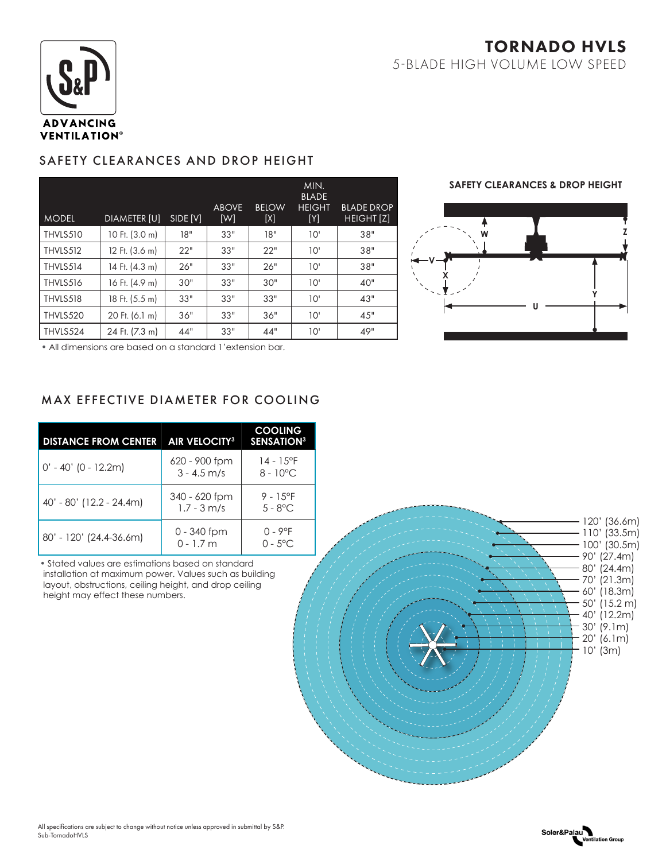# TORNADO HVLS 5-BLADE HIGH VOLUME LOW SPEED



## SAFETY CLEARANCES AND DROP HEIGHT

| <b>MODEL</b> | DIAMETER [U]   | SIDE [V] | <b>ABOVE</b><br>[W] | <b>BELOW</b><br>[X] | MIN.<br><b>BLADE</b><br><b>HEIGHT</b><br>[Y] | <b>BLADE DROP</b><br><b>HEIGHT</b> [Z] |
|--------------|----------------|----------|---------------------|---------------------|----------------------------------------------|----------------------------------------|
| THVLS510     | 10 Ft. (3.0 m) | 18"      | 33"                 | 18"                 | 10'                                          | 38"                                    |
| THVLS512     | 12 Ft. (3.6 m) | 22"      | 33"                 | 22"                 | 10'                                          | 38"                                    |
| THVLS514     | 14 Ft. (4.3 m) | 26"      | 33"                 | 26"                 | 10'                                          | 38"                                    |
| THVLS516     | 16 Ft. (4.9 m) | 30"      | 33"                 | 30"                 | 10'                                          | 40"                                    |
| THVLS518     | 18 Ft. (5.5 m) | 33"      | 33"                 | 33"                 | 10'                                          | 43"                                    |
| THVLS520     | 20 Ft. (6.1 m) | 36"      | 33"                 | 36"                 | 10'                                          | 45"                                    |
| THVLS524     | 24 Ft. (7.3 m) | 44"      | 33"                 | 44"                 | 10'                                          | 49"                                    |

## **SAFETY CLEARANCES & DROP HEIGHT**



•All dimensions are based on a standard 1'extension bar.

## MAX EFFECTIVE DIAMETER FOR COOLING

| <b>DISTANCE FROM CENTER</b> | <b>AIR VELOCITY3</b>           | <b>COOLING</b><br><b>SENSATION3</b>      |
|-----------------------------|--------------------------------|------------------------------------------|
| $0' - 40'$ (0 - 12.2m)      | 620 - 900 fpm<br>$3 - 4.5$ m/s | $14 - 15^{\circ}F$<br>$8 - 10^{\circ}$ C |
| $40' - 80'$ (12.2 - 24.4m)  | 340 - 620 fpm<br>$1.7 - 3$ m/s | $9 - 15$ °F<br>$5 - 8^{\circ}$ C         |
| 80' - 120' (24.4-36.6m)     | 0 - 340 fpm<br>$0 - 1.7$ m     | $0 - 9^{\circ}F$<br>$0 - 5^{\circ}$ C    |

•Stated values are estimations based on standard installation at maximum power. Values such as building layout, obstructions, ceiling height, and drop ceiling height may effect these numbers.



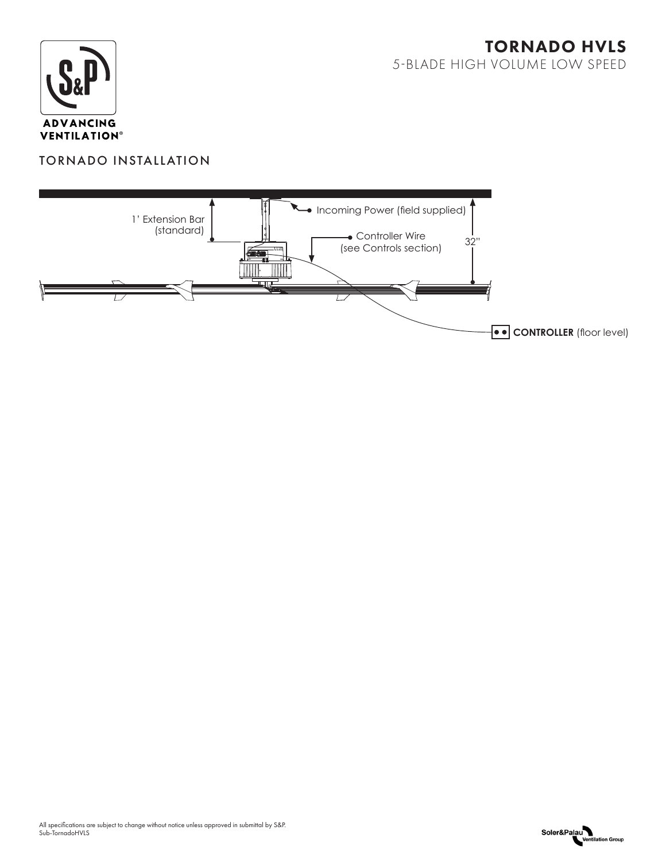# TORNADO HVLS 5-BLADE HIGH VOLUME LOW SPEED



# TORNADO INSTALLATION